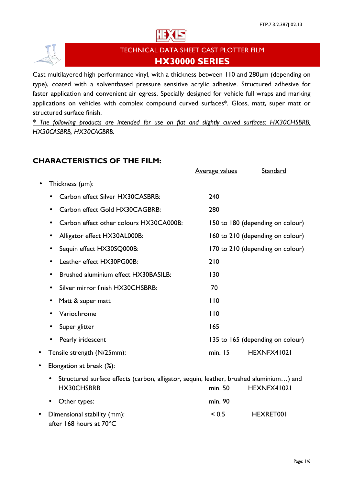



# TECHNICAL DATA SHEET CAST PLOTTER FILM HX30000 SERIES

Cast multilayered high performance vinyl, with a thickness between 110 and 280µm (depending on type), coated with a solventbased pressure sensitive acrylic adhesive. Structured adhesive for faster application and convenient air egress. Specially designed for vehicle full wraps and marking applications on vehicles with complex compound curved surfaces\*. Gloss, matt, super matt or structured surface finish.

\* The following products are intended for use on flat and slightly curved surfaces: HX30CHSBRB, HX30CASBRB, HX30CAGBRB.

# CHARACTERISTICS OF THE FILM:

|                                                                                                     | <b>Average values</b> | Standard                         |
|-----------------------------------------------------------------------------------------------------|-----------------------|----------------------------------|
| Thickness (µm):                                                                                     |                       |                                  |
| Carbon effect Silver HX30CASBRB:                                                                    | 240                   |                                  |
| Carbon effect Gold HX30CAGBRB:                                                                      | 280                   |                                  |
| Carbon effect other colours HX30CA000B:                                                             |                       | 150 to 180 (depending on colour) |
| Alligator effect HX30AL000B:                                                                        |                       | 160 to 210 (depending on colour) |
| Sequin effect HX30SQ000B:<br>$\bullet$                                                              |                       | 170 to 210 (depending on colour) |
| Leather effect HX30PG00B:                                                                           | 210                   |                                  |
| Brushed aluminium effect HX30BASILB:                                                                | 130                   |                                  |
| Silver mirror finish HX30CHSBRB:                                                                    | 70                    |                                  |
| Matt & super matt<br>$\bullet$                                                                      | 110                   |                                  |
| Variochrome                                                                                         | 110                   |                                  |
| Super glitter                                                                                       | 165                   |                                  |
| Pearly iridescent                                                                                   |                       | 135 to 165 (depending on colour) |
| Tensile strength (N/25mm):                                                                          | min. 15               | HEXNFX41021                      |
| Elongation at break (%):                                                                            |                       |                                  |
| Structured surface effects (carbon, alligator, sequin, leather, brushed aluminium) and<br>$\bullet$ |                       |                                  |
| HX30CHSBRB                                                                                          | min. 50               | HEXNFX41021                      |
| Other types:                                                                                        | min. 90               |                                  |
| Dimensional stability (mm):<br>after 168 hours at 70°C                                              | < 0.5                 | HEXRET001                        |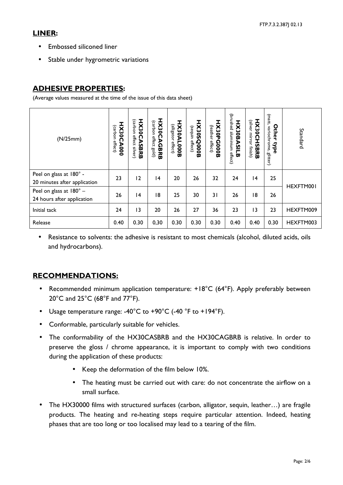### LINER:

- Embossed siliconed liner
- Stable under hygrometric variations

## ADHESIVE PROPERTIES:

(Average values measured at the time of the issue of this data sheet)

| (N/25mm)                                                     | <b>HX30C</b><br>(carbon<br>effect)<br>000 <sub>X</sub> | <b>HX30CASBRB</b><br>(carbon<br>effect<br>silver) | HX30C<br>(carbon<br>effect<br><b>AGBRB</b><br>(piog | HX30AL000B<br>(alligator<br>effect) | HX30SQ000B<br>(sequin<br>effect) | HX30PG00DB<br>(leather<br>effect) | (brushed<br>H)X30B<br>aluminium<br>ASIL<br>effect)<br>ω | HX30CHSBRB<br>(silver<br>mirror<br>finish) | (matt,<br><b>Other</b><br>variochrome, glitter)<br>type | Standard  |
|--------------------------------------------------------------|--------------------------------------------------------|---------------------------------------------------|-----------------------------------------------------|-------------------------------------|----------------------------------|-----------------------------------|---------------------------------------------------------|--------------------------------------------|---------------------------------------------------------|-----------|
| Peel on glass at 180° -<br>20 minutes after application      | 23                                                     | 12                                                | 4                                                   | 20                                  | 26                               | 32                                | 24                                                      | 4                                          | 25                                                      | HEXFTM001 |
| Peel on glass at $180^\circ$ –<br>24 hours after application | 26                                                     | 4                                                 | 18                                                  | 25                                  | 30                               | 31                                | 26                                                      | 18                                         | 26                                                      |           |
| Initial tack                                                 | 24                                                     | 13                                                | 20                                                  | 26                                  | 27                               | 36                                | 23                                                      | 13                                         | 23                                                      | HEXFTM009 |
| Release                                                      | 0.40                                                   | 0.30                                              | 0,30                                                | 0.30                                | 0.30                             | 0.30                              | 0.40                                                    | 0.40                                       | 0.30                                                    | HEXFTM003 |

• Resistance to solvents: the adhesive is resistant to most chemicals (alcohol, diluted acids, oils and hydrocarbons).

# RECOMMENDATIONS:

- Recommended minimum application temperature: +18°C (64°F). Apply preferably between 20°C and 25°C (68°F and 77°F).
- Usage temperature range: -40°C to +90°C (-40 °F to +194°F).
- Conformable, particularly suitable for vehicles.
- The conformability of the HX30CASBRB and the HX30CAGBRB is relative. In order to preserve the gloss / chrome appearance, it is important to comply with two conditions during the application of these products:
	- Keep the deformation of the film below 10%.
	- The heating must be carried out with care: do not concentrate the airflow on a small surface.
- The HX30000 films with structured surfaces (carbon, alligator, sequin, leather…) are fragile products. The heating and re-heating steps require particular attention. Indeed, heating phases that are too long or too localised may lead to a tearing of the film.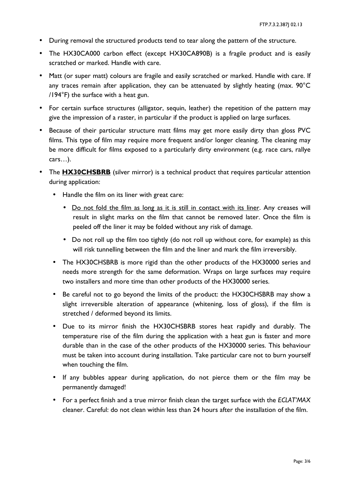- During removal the structured products tend to tear along the pattern of the structure.
- The HX30CA000 carbon effect (except HX30CA890B) is a fragile product and is easily scratched or marked. Handle with care.
- Matt (or super matt) colours are fragile and easily scratched or marked. Handle with care. If any traces remain after application, they can be attenuated by slightly heating (max. 90°C /194°F) the surface with a heat gun.
- For certain surface structures (alligator, sequin, leather) the repetition of the pattern may give the impression of a raster, in particular if the product is applied on large surfaces.
- Because of their particular structure matt films may get more easily dirty than gloss PVC films. This type of film may require more frequent and/or longer cleaning. The cleaning may be more difficult for films exposed to a particularly dirty environment (e.g. race cars, rallye cars…).
- The **HX30CHSBRB** (silver mirror) is a technical product that requires particular attention during application:
	- Handle the film on its liner with great care:
		- Do not fold the film as long as it is still in contact with its liner. Any creases will result in slight marks on the film that cannot be removed later. Once the film is peeled off the liner it may be folded without any risk of damage.
		- Do not roll up the film too tightly (do not roll up without core, for example) as this will risk tunnelling between the film and the liner and mark the film irreversibly.
	- The HX30CHSBRB is more rigid than the other products of the HX30000 series and needs more strength for the same deformation. Wraps on large surfaces may require two installers and more time than other products of the HX30000 series.
	- Be careful not to go beyond the limits of the product: the HX30CHSBRB may show a slight irreversible alteration of appearance (whitening, loss of gloss), if the film is stretched / deformed beyond its limits.
	- Due to its mirror finish the HX30CHSBRB stores heat rapidly and durably. The temperature rise of the film during the application with a heat gun is faster and more durable than in the case of the other products of the HX30000 series. This behaviour must be taken into account during installation. Take particular care not to burn yourself when touching the film.
	- If any bubbles appear during application, do not pierce them or the film may be permanently damaged!
	- For a perfect finish and a true mirror finish clean the target surface with the ECLAT'MAX cleaner. Careful: do not clean within less than 24 hours after the installation of the film.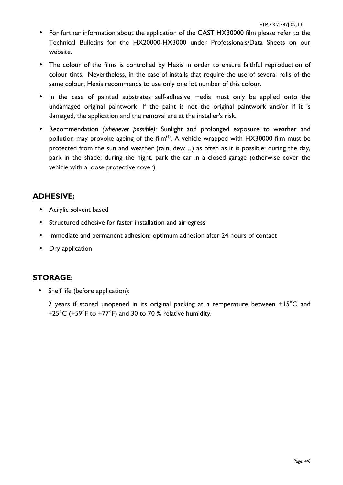- For further information about the application of the CAST HX30000 film please refer to the Technical Bulletins for the HX20000-HX3000 under Professionals/Data Sheets on our website.
- The colour of the films is controlled by Hexis in order to ensure faithful reproduction of colour tints. Nevertheless, in the case of installs that require the use of several rolls of the same colour, Hexis recommends to use only one lot number of this colour.
- In the case of painted substrates self-adhesive media must only be applied onto the undamaged original paintwork. If the paint is not the original paintwork and/or if it is damaged, the application and the removal are at the installer's risk.
- Recommendation (whenever possible): Sunlight and prolonged exposure to weather and pollution may provoke ageing of the film<sup>(1)</sup>. A vehicle wrapped with HX30000 film must be protected from the sun and weather (rain, dew…) as often as it is possible: during the day, park in the shade; during the night, park the car in a closed garage (otherwise cover the vehicle with a loose protective cover).

## ADHESIVE:

- Acrylic solvent based
- Structured adhesive for faster installation and air egress
- Immediate and permanent adhesion; optimum adhesion after 24 hours of contact
- Dry application

#### STORAGE:

• Shelf life (before application):

2 years if stored unopened in its original packing at a temperature between +15°C and +25°C (+59°F to +77°F) and 30 to 70 % relative humidity.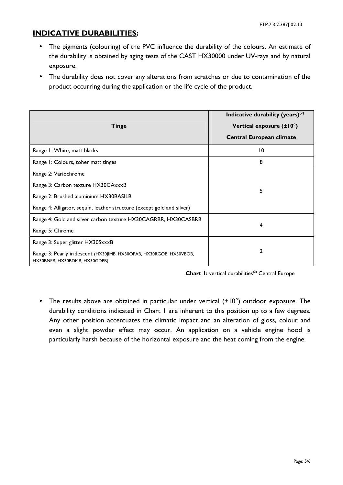### INDICATIVE DURABILITIES:

- The pigments (colouring) of the PVC influence the durability of the colours. An estimate of the durability is obtained by aging tests of the CAST HX30000 under UV-rays and by natural exposure.
- The durability does not cover any alterations from scratches or due to contamination of the product occurring during the application or the life cycle of the product.

| <b>Tinge</b>                                                                                         | Indicative durability (years) $(2)$<br>Vertical exposure (±10°)<br><b>Central European climate</b> |  |  |  |
|------------------------------------------------------------------------------------------------------|----------------------------------------------------------------------------------------------------|--|--|--|
| Range I: White, matt blacks                                                                          | 10                                                                                                 |  |  |  |
| Range 1: Colours, toher matt tinges                                                                  | 8                                                                                                  |  |  |  |
| Range 2: Variochrome                                                                                 |                                                                                                    |  |  |  |
| Range 3: Carbon texture HX30CAxxxB                                                                   | 5                                                                                                  |  |  |  |
| Range 2: Brushed aluminium HX30BASILB                                                                |                                                                                                    |  |  |  |
| Range 4: Alligator, sequin, leather structure (except gold and silver)                               |                                                                                                    |  |  |  |
| Range 4: Gold and silver carbon texture HX30CAGRBR, HX30CASBRB                                       | 4                                                                                                  |  |  |  |
| Range 5: Chrome                                                                                      |                                                                                                    |  |  |  |
| Range 3: Super glitter HX30SxxxB                                                                     |                                                                                                    |  |  |  |
| Range 3: Pearly iridescent (HX30JIMB, HX30OPAB, HX30RGOB, HX30VBOB,<br>HX30BNEB, HX30BDMB, HX30GDPB) | 2                                                                                                  |  |  |  |

Chart I: vertical durabilities<sup>(2)</sup> Central Europe

• The results above are obtained in particular under vertical (±10°) outdoor exposure. The durability conditions indicated in Chart 1 are inherent to this position up to a few degrees. Any other position accentuates the climatic impact and an alteration of gloss, colour and even a slight powder effect may occur. An application on a vehicle engine hood is particularly harsh because of the horizontal exposure and the heat coming from the engine.